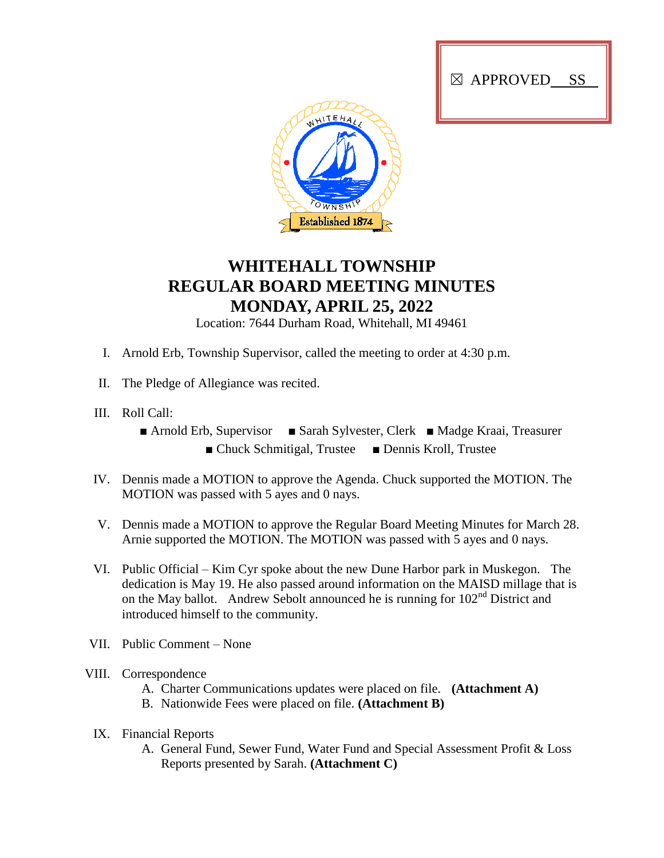



## **WHITEHALL TOWNSHIP REGULAR BOARD MEETING MINUTES MONDAY, APRIL 25, 2022**

Location: 7644 Durham Road, Whitehall, MI 49461

- I. Arnold Erb, Township Supervisor, called the meeting to order at 4:30 p.m.
- II. The Pledge of Allegiance was recited.
- III. Roll Call:
	- Arnold Erb, Supervisor Sarah Sylvester, Clerk Madge Kraai, Treasurer ■ Chuck Schmitigal, Trustee ■ Dennis Kroll, Trustee
- IV. Dennis made a MOTION to approve the Agenda. Chuck supported the MOTION. The MOTION was passed with 5 ayes and 0 nays.
- V. Dennis made a MOTION to approve the Regular Board Meeting Minutes for March 28. Arnie supported the MOTION. The MOTION was passed with 5 ayes and 0 nays.
- VI. Public Official Kim Cyr spoke about the new Dune Harbor park in Muskegon. The dedication is May 19. He also passed around information on the MAISD millage that is on the May ballot. Andrew Sebolt announced he is running for 102<sup>nd</sup> District and introduced himself to the community.
- VII. Public Comment None
- VIII. Correspondence
	- A. Charter Communications updates were placed on file. **(Attachment A)**
	- B. Nationwide Fees were placed on file. **(Attachment B)**
	- IX. Financial Reports
		- A. General Fund, Sewer Fund, Water Fund and Special Assessment Profit & Loss Reports presented by Sarah. **(Attachment C)**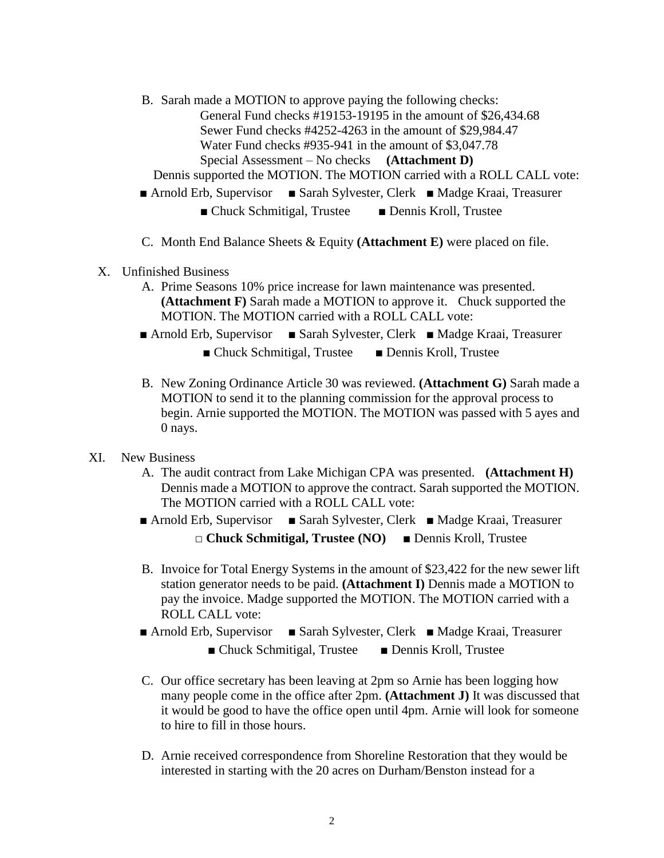B. Sarah made a MOTION to approve paying the following checks: General Fund checks #19153-19195 in the amount of \$26,434.68 Sewer Fund checks #4252-4263 in the amount of \$29,984.47 Water Fund checks #935-941 in the amount of \$3,047.78 Special Assessment – No checks **(Attachment D)**

Dennis supported the MOTION. The MOTION carried with a ROLL CALL vote:

- Arnold Erb, Supervisor Sarah Sylvester, Clerk Madge Kraai, Treasurer
	- Chuck Schmitigal, Trustee Dennis Kroll, Trustee
- C. Month End Balance Sheets & Equity **(Attachment E)** were placed on file.
- X. Unfinished Business
	- A. Prime Seasons 10% price increase for lawn maintenance was presented. **(Attachment F)** Sarah made a MOTION to approve it. Chuck supported the MOTION. The MOTION carried with a ROLL CALL vote:
	- Arnold Erb, Supervisor Sarah Sylvester, Clerk Madge Kraai, Treasurer
		- Chuck Schmitigal, Trustee Dennis Kroll, Trustee
	- B. New Zoning Ordinance Article 30 was reviewed. **(Attachment G)** Sarah made a MOTION to send it to the planning commission for the approval process to begin. Arnie supported the MOTION. The MOTION was passed with 5 ayes and 0 nays.
- XI. New Business
	- A. The audit contract from Lake Michigan CPA was presented. **(Attachment H)** Dennis made a MOTION to approve the contract. Sarah supported the MOTION. The MOTION carried with a ROLL CALL vote:
	- Arnold Erb, Supervisor Sarah Sylvester, Clerk Madge Kraai, Treasurer **□ Chuck Schmitigal, Trustee (NO)** ■ Dennis Kroll, Trustee
	- B. Invoice for Total Energy Systems in the amount of \$23,422 for the new sewer lift station generator needs to be paid. **(Attachment I)** Dennis made a MOTION to pay the invoice. Madge supported the MOTION. The MOTION carried with a ROLL CALL vote:
	- Arnold Erb, Supervisor Sarah Sylvester, Clerk Madge Kraai, Treasurer ■ Chuck Schmitigal, Trustee ■ Dennis Kroll, Trustee
	- C. Our office secretary has been leaving at 2pm so Arnie has been logging how many people come in the office after 2pm. **(Attachment J)** It was discussed that it would be good to have the office open until 4pm. Arnie will look for someone to hire to fill in those hours.
	- D. Arnie received correspondence from Shoreline Restoration that they would be interested in starting with the 20 acres on Durham/Benston instead for a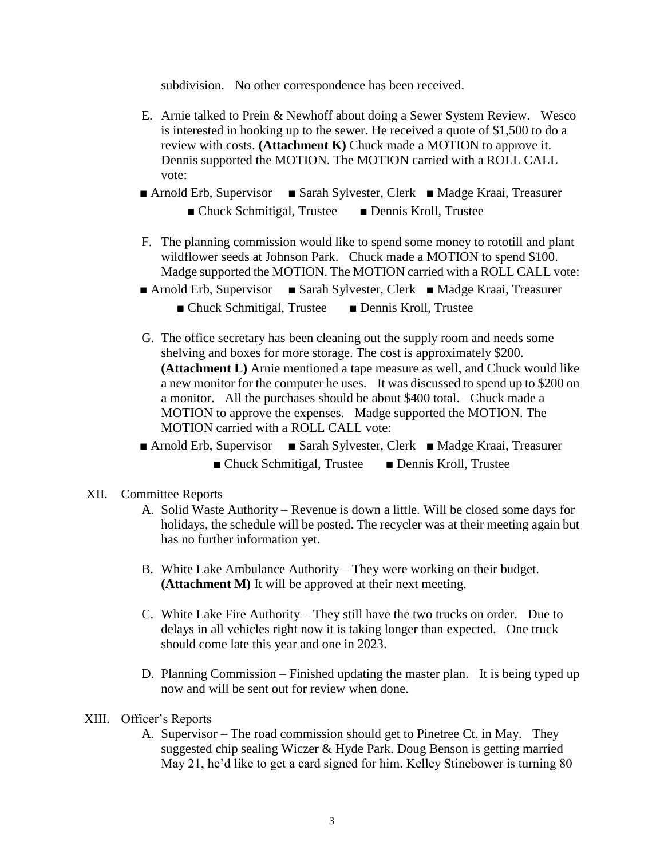subdivision. No other correspondence has been received.

- E. Arnie talked to Prein & Newhoff about doing a Sewer System Review. Wesco is interested in hooking up to the sewer. He received a quote of \$1,500 to do a review with costs. **(Attachment K)** Chuck made a MOTION to approve it. Dennis supported the MOTION. The MOTION carried with a ROLL CALL vote:
- Arnold Erb, Supervisor Sarah Sylvester, Clerk Madge Kraai, Treasurer ■ Chuck Schmitigal, Trustee ■ Dennis Kroll, Trustee
- F. The planning commission would like to spend some money to rototill and plant wildflower seeds at Johnson Park. Chuck made a MOTION to spend \$100. Madge supported the MOTION. The MOTION carried with a ROLL CALL vote:
- Arnold Erb, Supervisor Sarah Sylvester, Clerk Madge Kraai, Treasurer
	- Chuck Schmitigal, Trustee Dennis Kroll, Trustee
- G. The office secretary has been cleaning out the supply room and needs some shelving and boxes for more storage. The cost is approximately \$200. **(Attachment L)** Arnie mentioned a tape measure as well, and Chuck would like a new monitor for the computer he uses. It was discussed to spend up to \$200 on a monitor. All the purchases should be about \$400 total. Chuck made a MOTION to approve the expenses. Madge supported the MOTION. The MOTION carried with a ROLL CALL vote:
- Arnold Erb, Supervisor Sarah Sylvester, Clerk Madge Kraai, Treasurer ■ Chuck Schmitigal, Trustee ■ Dennis Kroll, Trustee
- XII. Committee Reports
	- A. Solid Waste Authority Revenue is down a little. Will be closed some days for holidays, the schedule will be posted. The recycler was at their meeting again but has no further information yet.
	- B. White Lake Ambulance Authority They were working on their budget. **(Attachment M)** It will be approved at their next meeting.
	- C. White Lake Fire Authority They still have the two trucks on order. Due to delays in all vehicles right now it is taking longer than expected. One truck should come late this year and one in 2023.
	- D. Planning Commission Finished updating the master plan. It is being typed up now and will be sent out for review when done.
- XIII. Officer's Reports
	- A. Supervisor The road commission should get to Pinetree Ct. in May. They suggested chip sealing Wiczer & Hyde Park. Doug Benson is getting married May 21, he'd like to get a card signed for him. Kelley Stinebower is turning 80